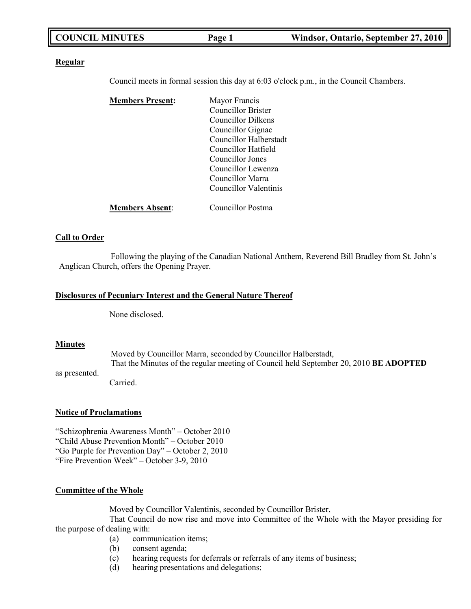| <b>COUNCIL MINUTES</b> | Page 1 | Windsor, Ontario, September 27, 2010 |
|------------------------|--------|--------------------------------------|
|------------------------|--------|--------------------------------------|

#### **Regular**

Council meets in formal session this day at 6:03 o'clock p.m., in the Council Chambers.

| <b>Members Present:</b> | Mayor Francis          |
|-------------------------|------------------------|
|                         | Councillor Brister     |
|                         | Councillor Dilkens     |
|                         | Councillor Gignac      |
|                         | Councillor Halberstadt |
|                         | Councillor Hatfield    |
|                         | Councillor Jones       |
|                         | Councillor Lewenza     |
|                         | Councillor Marra       |
|                         | Councillor Valentinis  |
|                         |                        |
| <b>Members Absent:</b>  | Councillor Postma      |

#### **Call to Order**

Following the playing of the Canadian National Anthem, Reverend Bill Bradley from St. John's Anglican Church, offers the Opening Prayer.

#### **Disclosures of Pecuniary Interest and the General Nature Thereof**

None disclosed.

#### **Minutes**

as presented.

Moved by Councillor Marra, seconded by Councillor Halberstadt, That the Minutes of the regular meeting of Council held September 20, 2010 **BE ADOPTED**

Carried.

#### **Notice of Proclamations**

"Schizophrenia Awareness Month" – October 2010 "Child Abuse Prevention Month" – October 2010 "Go Purple for Prevention Day" – October 2, 2010 "Fire Prevention Week" – October 3-9, 2010

#### **Committee of the Whole**

Moved by Councillor Valentinis, seconded by Councillor Brister,

That Council do now rise and move into Committee of the Whole with the Mayor presiding for the purpose of dealing with:

- (a) communication items;
- (b) consent agenda;
- (c) hearing requests for deferrals or referrals of any items of business;
- (d) hearing presentations and delegations;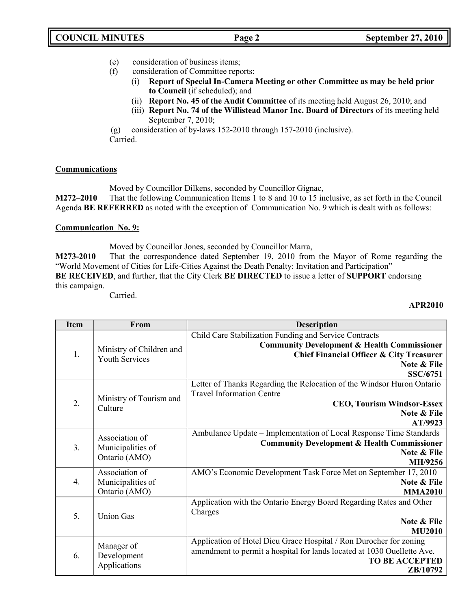- (e) consideration of business items;
- (f) consideration of Committee reports:
	- (i) **Report of Special In-Camera Meeting or other Committee as may be held prior to Council** (if scheduled); and
		- (ii) **Report No. 45 of the Audit Committee** of its meeting held August 26, 2010; and
		- (iii) **Report No. 74 of the Willistead Manor Inc. Board of Directors** of its meeting held September 7, 2010;

(g) consideration of by-laws 152-2010 through 157-2010 (inclusive). Carried.

# **Communications**

Moved by Councillor Dilkens, seconded by Councillor Gignac,

**M272–2010** That the following Communication Items 1 to 8 and 10 to 15 inclusive, as set forth in the Council Agenda **BE REFERRED** as noted with the exception of Communication No. 9 which is dealt with as follows:

### **Communication No. 9:**

Moved by Councillor Jones, seconded by Councillor Marra,

**M273-2010** That the correspondence dated September 19, 2010 from the Mayor of Rome regarding the "World Movement of Cities for Life-Cities Against the Death Penalty: Invitation and Participation" **BE RECEIVED**, and further, that the City Clerk **BE DIRECTED** to issue a letter of **SUPPORT** endorsing this campaign.

Carried.

### **APR2010**

| <b>Item</b> | From                                                 | <b>Description</b>                                                      |
|-------------|------------------------------------------------------|-------------------------------------------------------------------------|
|             |                                                      | Child Care Stabilization Funding and Service Contracts                  |
|             | Ministry of Children and                             | <b>Community Development &amp; Health Commissioner</b>                  |
| 1.          | <b>Youth Services</b>                                | <b>Chief Financial Officer &amp; City Treasurer</b>                     |
|             |                                                      | Note & File                                                             |
|             |                                                      | <b>SSC/6751</b>                                                         |
|             |                                                      | Letter of Thanks Regarding the Relocation of the Windsor Huron Ontario  |
|             | Ministry of Tourism and                              | <b>Travel Information Centre</b>                                        |
| 2.          | Culture                                              | <b>CEO, Tourism Windsor-Essex</b>                                       |
|             |                                                      | <b>Note &amp; File</b><br>AT/9923                                       |
|             |                                                      | Ambulance Update – Implementation of Local Response Time Standards      |
|             | Association of<br>Municipalities of<br>Ontario (AMO) | <b>Community Development &amp; Health Commissioner</b>                  |
| 3.          |                                                      | Note & File                                                             |
|             |                                                      | MH/9256                                                                 |
|             | Association of                                       | AMO's Economic Development Task Force Met on September 17, 2010         |
| 4.          | Municipalities of                                    | Note & File                                                             |
|             | Ontario (AMO)                                        | <b>MMA2010</b>                                                          |
|             |                                                      | Application with the Ontario Energy Board Regarding Rates and Other     |
| 5.          | <b>Union Gas</b>                                     | Charges                                                                 |
|             |                                                      | Note & File                                                             |
|             |                                                      | <b>MU2010</b>                                                           |
|             | Manager of                                           | Application of Hotel Dieu Grace Hospital / Ron Durocher for zoning      |
| 6.          | Development                                          | amendment to permit a hospital for lands located at 1030 Ouellette Ave. |
|             | Applications                                         | <b>TO BE ACCEPTED</b>                                                   |
|             |                                                      | ZB/10792                                                                |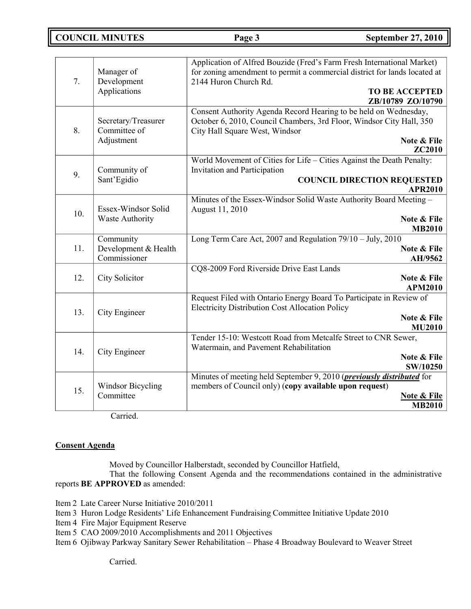**COUNCIL MINUTES Page 3 September 27, 2010**

| 7.  | Manager of<br>Development<br>Applications                | Application of Alfred Bouzide (Fred's Farm Fresh International Market)<br>for zoning amendment to permit a commercial district for lands located at<br>2144 Huron Church Rd.<br><b>TO BE ACCEPTED</b><br>ZB/10789 ZO/10790 |
|-----|----------------------------------------------------------|----------------------------------------------------------------------------------------------------------------------------------------------------------------------------------------------------------------------------|
| 8.  | Secretary/Treasurer<br>Committee of<br>Adjustment        | Consent Authority Agenda Record Hearing to be held on Wednesday,<br>October 6, 2010, Council Chambers, 3rd Floor, Windsor City Hall, 350<br>City Hall Square West, Windsor<br>Note & File<br><b>ZC2010</b>                 |
| 9.  | Community of<br>Sant'Egidio                              | World Movement of Cities for Life - Cities Against the Death Penalty:<br><b>Invitation and Participation</b><br><b>COUNCIL DIRECTION REQUESTED</b><br><b>APR2010</b>                                                       |
| 10. | Essex-Windsor Solid<br><b>Waste Authority</b>            | Minutes of the Essex-Windsor Solid Waste Authority Board Meeting -<br>August 11, 2010<br>Note & File<br><b>MB2010</b>                                                                                                      |
| 11. | Community<br>Development & Health<br>Commissioner        | Long Term Care Act, 2007 and Regulation $79/10 - \text{July}, 2010$<br>Note & File<br>AH/9562                                                                                                                              |
| 12. | City Solicitor                                           | CQ8-2009 Ford Riverside Drive East Lands<br>Note & File<br><b>APM2010</b>                                                                                                                                                  |
| 13. | City Engineer                                            | Request Filed with Ontario Energy Board To Participate in Review of<br><b>Electricity Distribution Cost Allocation Policy</b><br>Note & File<br><b>MU2010</b>                                                              |
| 14. | City Engineer                                            | Tender 15-10: Westcott Road from Metcalfe Street to CNR Sewer,<br>Watermain, and Pavement Rehabilitation<br>Note & File<br>SW/10250                                                                                        |
| 15. | <b>Windsor Bicycling</b><br>Committee<br>$\sim$ $\sim$ 1 | Minutes of meeting held September 9, 2010 ( <i>previously distributed</i> for<br>members of Council only) (copy available upon request)<br><b>Note &amp; File</b><br><b>MB2010</b>                                         |

Carried.

### **Consent Agenda**

Moved by Councillor Halberstadt, seconded by Councillor Hatfield,

That the following Consent Agenda and the recommendations contained in the administrative reports **BE APPROVED** as amended:

Item 2 Late Career Nurse Initiative 2010/2011

Item 3 Huron Lodge Residents' Life Enhancement Fundraising Committee Initiative Update 2010

Item 4 Fire Major Equipment Reserve

Item 5 CAO 2009/2010 Accomplishments and 2011 Objectives

Item 6 Ojibway Parkway Sanitary Sewer Rehabilitation – Phase 4 Broadway Boulevard to Weaver Street

Carried.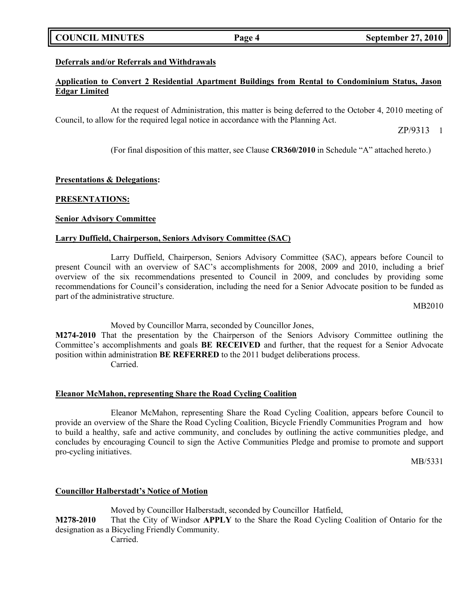# **COUNCIL MINUTES Page 4 September 27, 2010**

### **Deferrals and/or Referrals and Withdrawals**

#### **Application to Convert 2 Residential Apartment Buildings from Rental to Condominium Status, Jason Edgar Limited**

At the request of Administration, this matter is being deferred to the October 4, 2010 meeting of Council, to allow for the required legal notice in accordance with the Planning Act.

ZP/9313 1

(For final disposition of this matter, see Clause **CR360/2010** in Schedule "A" attached hereto.)

### **Presentations & Delegations:**

#### **PRESENTATIONS:**

#### **Senior Advisory Committee**

#### **Larry Duffield, Chairperson, Seniors Advisory Committee (SAC)**

Larry Duffield, Chairperson, Seniors Advisory Committee (SAC), appears before Council to present Council with an overview of SAC's accomplishments for 2008, 2009 and 2010, including a brief overview of the six recommendations presented to Council in 2009, and concludes by providing some recommendations for Council's consideration, including the need for a Senior Advocate position to be funded as part of the administrative structure.

MB2010

Moved by Councillor Marra, seconded by Councillor Jones,

**M274-2010** That the presentation by the Chairperson of the Seniors Advisory Committee outlining the Committee's accomplishments and goals **BE RECEIVED** and further, that the request for a Senior Advocate position within administration **BE REFERRED** to the 2011 budget deliberations process. Carried.

#### **Eleanor McMahon, representing Share the Road Cycling Coalition**

Eleanor McMahon, representing Share the Road Cycling Coalition, appears before Council to provide an overview of the Share the Road Cycling Coalition, Bicycle Friendly Communities Program and how to build a healthy, safe and active community, and concludes by outlining the active communities pledge, and concludes by encouraging Council to sign the Active Communities Pledge and promise to promote and support pro-cycling initiatives.

MB/5331

### **Councillor Halberstadt's Notice of Motion**

Moved by Councillor Halberstadt, seconded by Councillor Hatfield, **M278-2010** That the City of Windsor **APPLY** to the Share the Road Cycling Coalition of Ontario for the designation as a Bicycling Friendly Community. Carried.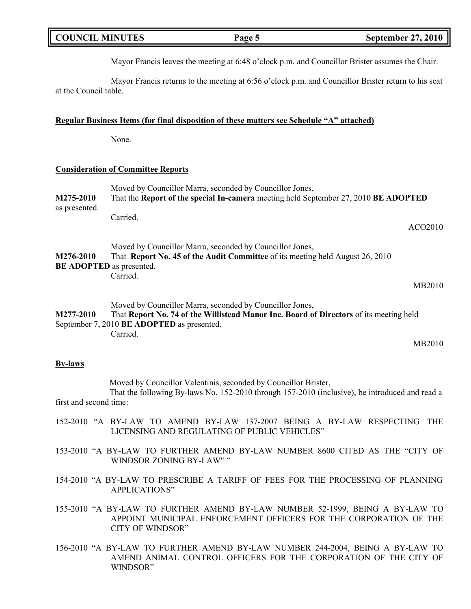| <b>COUNCIL MINUTES</b> | Page 5 | <b>September 27, 2010</b> |
|------------------------|--------|---------------------------|
|                        |        |                           |

Mayor Francis leaves the meeting at 6:48 o'clock p.m. and Councillor Brister assumes the Chair.

Mayor Francis returns to the meeting at 6:56 o'clock p.m. and Councillor Brister return to his seat at the Council table.

#### **Regular Business Items (for final disposition of these matters see Schedule "A" attached)**

None.

#### **Consideration of Committee Reports**

| M275-2010<br>as presented.                   | Moved by Councillor Marra, seconded by Councillor Jones,<br>That the Report of the special In-camera meeting held September 27, 2010 BE ADOPTED                                                              |                     |
|----------------------------------------------|--------------------------------------------------------------------------------------------------------------------------------------------------------------------------------------------------------------|---------------------|
|                                              | Carried.                                                                                                                                                                                                     | ACO <sub>2010</sub> |
| M276-2010<br><b>BE ADOPTED</b> as presented. | Moved by Councillor Marra, seconded by Councillor Jones,<br>That <b>Report No. 45 of the Audit Committee</b> of its meeting held August 26, 2010<br>Carried.                                                 |                     |
|                                              |                                                                                                                                                                                                              | MB2010              |
| M277-2010                                    | Moved by Councillor Marra, seconded by Councillor Jones,<br>That Report No. 74 of the Willistead Manor Inc. Board of Directors of its meeting held<br>September 7, 2010 BE ADOPTED as presented.<br>Carried. |                     |
|                                              |                                                                                                                                                                                                              | MB2010              |

#### **By-laws**

Moved by Councillor Valentinis, seconded by Councillor Brister, That the following By-laws No. 152-2010 through 157-2010 (inclusive), be introduced and read a first and second time:

- 152-2010 "A BY-LAW TO AMEND BY-LAW 137-2007 BEING A BY-LAW RESPECTING THE LICENSING AND REGULATING OF PUBLIC VEHICLES"
- 153-2010 "A BY-LAW TO FURTHER AMEND BY-LAW NUMBER 8600 CITED AS THE "CITY OF WINDSOR ZONING BY-LAW""
- 154-2010 "A BY-LAW TO PRESCRIBE A TARIFF OF FEES FOR THE PROCESSING OF PLANNING APPLICATIONS"

155-2010 "A BY-LAW TO FURTHER AMEND BY-LAW NUMBER 52-1999, BEING A BY-LAW TO APPOINT MUNICIPAL ENFORCEMENT OFFICERS FOR THE CORPORATION OF THE CITY OF WINDSOR"

156-2010 "A BY-LAW TO FURTHER AMEND BY-LAW NUMBER 244-2004, BEING A BY-LAW TO AMEND ANIMAL CONTROL OFFICERS FOR THE CORPORATION OF THE CITY OF WINDSOR"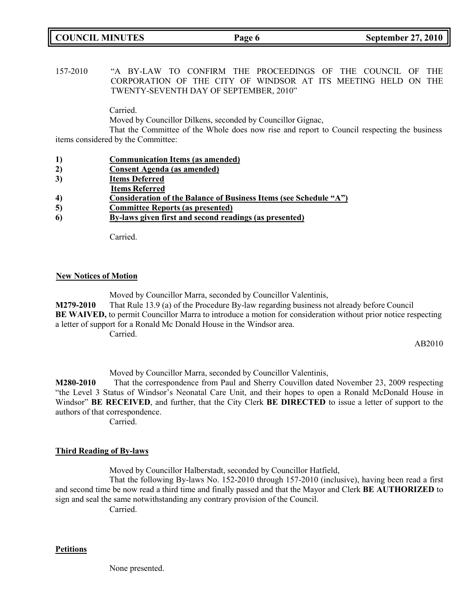# **COUNCIL MINUTES Page 6 September 27, 2010**

157-2010 "A BY-LAW TO CONFIRM THE PROCEEDINGS OF THE COUNCIL OF THE CORPORATION OF THE CITY OF WINDSOR AT ITS MEETING HELD ON THE TWENTY-SEVENTH DAY OF SEPTEMBER, 2010"

Carried.

Moved by Councillor Dilkens, seconded by Councillor Gignac,

That the Committee of the Whole does now rise and report to Council respecting the business items considered by the Committee:

- **1) Communication Items (as amended)**
- **2) Consent Agenda (as amended)**
- **3) Items Deferred**
- **Items Referred**
- **4) Consideration of the Balance of Business Items (see Schedule "A")**
- **5) Committee Reports (as presented)**
- **6) By-laws given first and second readings (as presented)**

Carried.

### **New Notices of Motion**

Moved by Councillor Marra, seconded by Councillor Valentinis, **M279-2010** That Rule 13.9 (a) of the Procedure By-law regarding business not already before Council **BE WAIVED,** to permit Councillor Marra to introduce a motion for consideration without prior notice respecting a letter of support for a Ronald Mc Donald House in the Windsor area. Carried.

AB2010

Moved by Councillor Marra, seconded by Councillor Valentinis,

**M280-2010** That the correspondence from Paul and Sherry Couvillon dated November 23, 2009 respecting "the Level 3 Status of Windsor's Neonatal Care Unit, and their hopes to open a Ronald McDonald House in Windsor" **BE RECEIVED**, and further, that the City Clerk **BE DIRECTED** to issue a letter of support to the authors of that correspondence.

Carried.

### **Third Reading of By-laws**

Moved by Councillor Halberstadt, seconded by Councillor Hatfield,

That the following By-laws No. 152-2010 through 157-2010 (inclusive), having been read a first and second time be now read a third time and finally passed and that the Mayor and Clerk **BE AUTHORIZED** to sign and seal the same notwithstanding any contrary provision of the Council.

Carried.

### **Petitions**

None presented.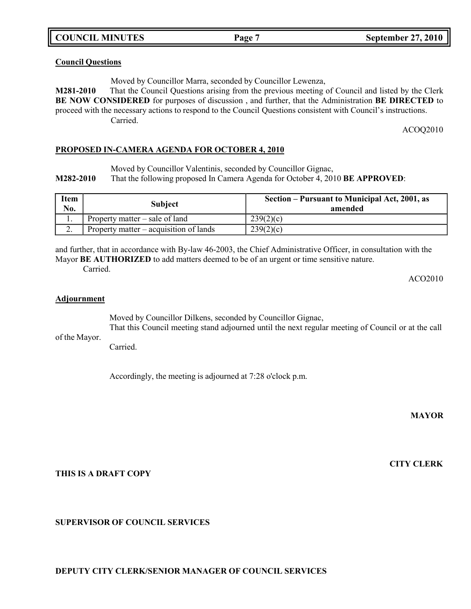**COUNCIL MINUTES Page 7 September 27, 2010**

#### **Council Questions**

Moved by Councillor Marra, seconded by Councillor Lewenza,

**M281-2010** That the Council Questions arising from the previous meeting of Council and listed by the Clerk **BE NOW CONSIDERED** for purposes of discussion , and further, that the Administration **BE DIRECTED** to proceed with the necessary actions to respond to the Council Questions consistent with Council's instructions. Carried.

ACOQ2010

### **PROPOSED IN-CAMERA AGENDA FOR OCTOBER 4, 2010**

Moved by Councillor Valentinis, seconded by Councillor Gignac,

**M282-2010** That the following proposed In Camera Agenda for October 4, 2010 **BE APPROVED**:

| <b>Item</b><br>No. | <b>Subject</b>                         | Section – Pursuant to Municipal Act, 2001, as<br>amended |
|--------------------|----------------------------------------|----------------------------------------------------------|
|                    | Property matter $-$ sale of land       | 239(2)(c)                                                |
| . ـ                | Property matter – acquisition of lands | 239(2)(c)                                                |

and further, that in accordance with By-law 46-2003, the Chief Administrative Officer, in consultation with the Mayor **BE AUTHORIZED** to add matters deemed to be of an urgent or time sensitive nature. Carried.

ACO2010

#### **Adjournment**

Moved by Councillor Dilkens, seconded by Councillor Gignac,

of the Mayor. That this Council meeting stand adjourned until the next regular meeting of Council or at the call

Carried.

Accordingly, the meeting is adjourned at 7:28 o'clock p.m.

**MAYOR**

**CITY CLERK**

### **THIS IS A DRAFT COPY**

**SUPERVISOR OF COUNCIL SERVICES**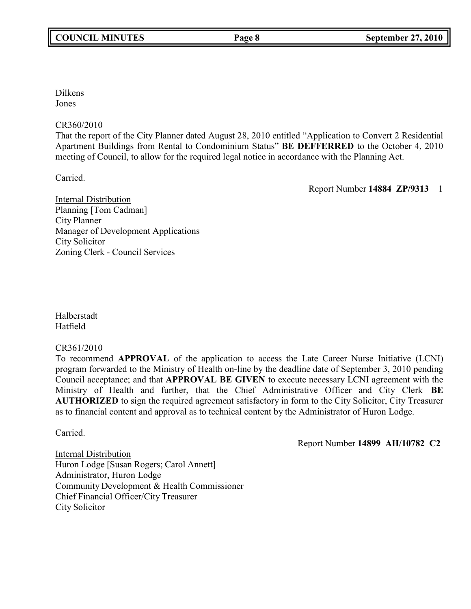Dilkens Jones

# CR360/2010

That the report of the City Planner dated August 28, 2010 entitled "Application to Convert 2 Residential Apartment Buildings from Rental to Condominium Status" **BE DEFFERRED** to the October 4, 2010 meeting of Council, to allow for the required legal notice in accordance with the Planning Act.

Carried.

Report Number **14884 ZP/9313** 1

Internal Distribution Planning [Tom Cadman] City Planner Manager of Development Applications City Solicitor Zoning Clerk - Council Services

Halberstadt Hatfield

# CR361/2010

To recommend **APPROVAL** of the application to access the Late Career Nurse Initiative (LCNI) program forwarded to the Ministry of Health on-line by the deadline date of September 3, 2010 pending Council acceptance; and that **APPROVAL BE GIVEN** to execute necessary LCNI agreement with the Ministry of Health and further, that the Chief Administrative Officer and City Clerk **BE AUTHORIZED** to sign the required agreement satisfactory in form to the City Solicitor, City Treasurer as to financial content and approval as to technical content by the Administrator of Huron Lodge.

Carried.

Report Number **14899 AH/10782 C2**

Internal Distribution Huron Lodge [Susan Rogers; Carol Annett] Administrator, Huron Lodge Community Development & Health Commissioner Chief Financial Officer/City Treasurer City Solicitor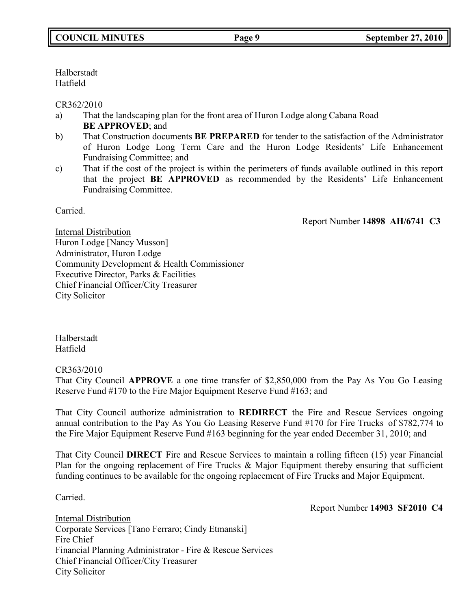Halberstadt Hatfield

CR362/2010

- a) That the landscaping plan for the front area of Huron Lodge along Cabana Road **BE APPROVED**; and
- b) That Construction documents **BE PREPARED** for tender to the satisfaction of the Administrator of Huron Lodge Long Term Care and the Huron Lodge Residents' Life Enhancement Fundraising Committee; and
- c) That if the cost of the project is within the perimeters of funds available outlined in this report that the project **BE APPROVED** as recommended by the Residents' Life Enhancement Fundraising Committee.

Carried.

Report Number **14898 AH/6741 C3**

Internal Distribution Huron Lodge [Nancy Musson] Administrator, Huron Lodge Community Development & Health Commissioner Executive Director, Parks & Facilities Chief Financial Officer/City Treasurer City Solicitor

Halberstadt Hatfield

CR363/2010

That City Council **APPROVE** a one time transfer of \$2,850,000 from the Pay As You Go Leasing Reserve Fund #170 to the Fire Major Equipment Reserve Fund #163; and

That City Council authorize administration to **REDIRECT** the Fire and Rescue Services ongoing annual contribution to the Pay As You Go Leasing Reserve Fund #170 for Fire Trucks of \$782,774 to the Fire Major Equipment Reserve Fund #163 beginning for the year ended December 31, 2010; and

That City Council **DIRECT** Fire and Rescue Services to maintain a rolling fifteen (15) year Financial Plan for the ongoing replacement of Fire Trucks & Major Equipment thereby ensuring that sufficient funding continues to be available for the ongoing replacement of Fire Trucks and Major Equipment.

Carried.

Report Number **14903 SF2010 C4**

Internal Distribution Corporate Services [Tano Ferraro; Cindy Etmanski] Fire Chief Financial Planning Administrator - Fire & Rescue Services Chief Financial Officer/City Treasurer City Solicitor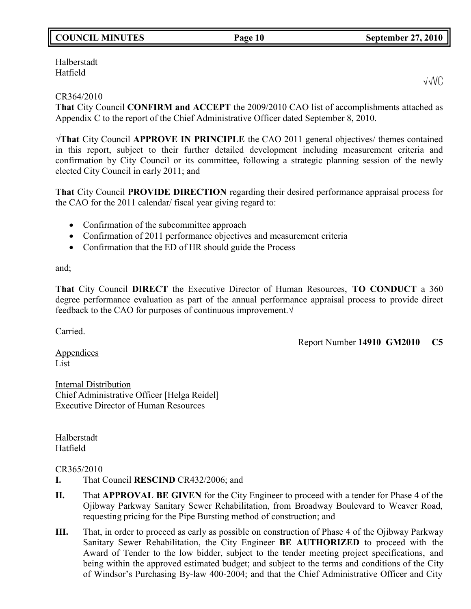# **COUNCIL MINUTES Page 10 September 27, 2010**

Halberstadt Hatfield

# CR364/2010

**That** City Council **CONFIRM and ACCEPT** the 2009/2010 CAO list of accomplishments attached as Appendix C to the report of the Chief Administrative Officer dated September 8, 2010.

√**That** City Council **APPROVE IN PRINCIPLE** the CAO 2011 general objectives/ themes contained in this report, subject to their further detailed development including measurement criteria and confirmation by City Council or its committee, following a strategic planning session of the newly elected City Council in early 2011; and

**That** City Council **PROVIDE DIRECTION** regarding their desired performance appraisal process for the CAO for the 2011 calendar/ fiscal year giving regard to:

- Confirmation of the subcommittee approach
- Confirmation of 2011 performance objectives and measurement criteria
- Confirmation that the ED of HR should guide the Process

and;

**That** City Council **DIRECT** the Executive Director of Human Resources, **TO CONDUCT** a 360 degree performance evaluation as part of the annual performance appraisal process to provide direct feedback to the CAO for purposes of continuous improvement.√

Carried.

Report Number **14910 GM2010 C5**

Appendices List

Internal Distribution Chief Administrative Officer [Helga Reidel] Executive Director of Human Resources

Halberstadt Hatfield

# CR365/2010

- **I.** That Council **RESCIND** CR432/2006; and
- **II.** That **APPROVAL BE GIVEN** for the City Engineer to proceed with a tender for Phase 4 of the Ojibway Parkway Sanitary Sewer Rehabilitation, from Broadway Boulevard to Weaver Road, requesting pricing for the Pipe Bursting method of construction; and
- **III.** That, in order to proceed as early as possible on construction of Phase 4 of the Ojibway Parkway Sanitary Sewer Rehabilitation, the City Engineer **BE AUTHORIZED** to proceed with the Award of Tender to the low bidder, subject to the tender meeting project specifications, and being within the approved estimated budget; and subject to the terms and conditions of the City of Windsor's Purchasing By-law 400-2004; and that the Chief Administrative Officer and City

√√VC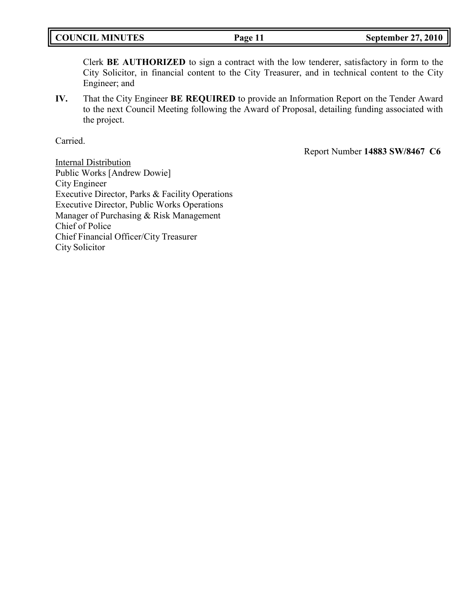Clerk **BE AUTHORIZED** to sign a contract with the low tenderer, satisfactory in form to the City Solicitor, in financial content to the City Treasurer, and in technical content to the City Engineer; and

**IV.** That the City Engineer **BE REQUIRED** to provide an Information Report on the Tender Award to the next Council Meeting following the Award of Proposal, detailing funding associated with the project.

Carried.

Report Number **14883 SW/8467 C6**

Internal Distribution Public Works [Andrew Dowie] City Engineer Executive Director, Parks & Facility Operations Executive Director, Public Works Operations Manager of Purchasing & Risk Management Chief of Police Chief Financial Officer/City Treasurer City Solicitor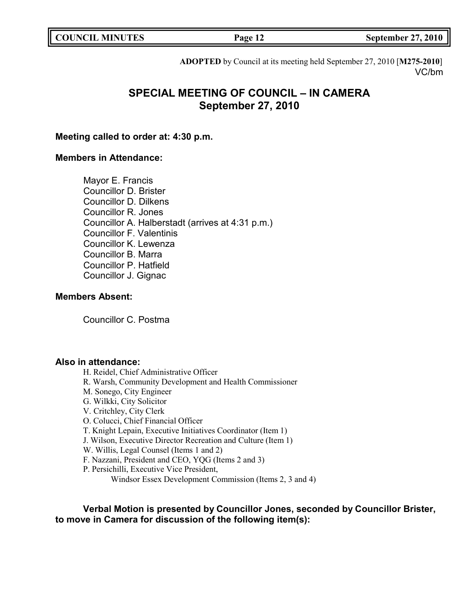| <b>COUNCIL MINUTES</b> |  |
|------------------------|--|
|------------------------|--|

**COUNCIL EXECUTE: COUNCIL EXECUTE: COUNCIL EXECUTE: COUNCIL EXECUTE: COUNCIL EXECUTE: COUNCIL EXECUTE: COUNCIL EXECUTE: COUNCIL** 

**ADOPTED** by Council at its meeting held September 27, 2010 [**M275-2010**] VC/bm

# **SPECIAL MEETING OF COUNCIL – IN CAMERA September 27, 2010**

# **Meeting called to order at: 4:30 p.m.**

# **Members in Attendance:**

Mayor E. Francis Councillor D. Brister Councillor D. Dilkens Councillor R. Jones Councillor A. Halberstadt (arrives at 4:31 p.m.) Councillor F. Valentinis Councillor K. Lewenza Councillor B. Marra Councillor P. Hatfield Councillor J. Gignac

# **Members Absent:**

Councillor C. Postma

### **Also in attendance:**

H. Reidel, Chief Administrative Officer R. Warsh, Community Development and Health Commissioner M. Sonego, City Engineer G. Wilkki, City Solicitor V. Critchley, City Clerk O. Colucci, Chief Financial Officer T. Knight Lepain, Executive Initiatives Coordinator (Item 1) J. Wilson, Executive Director Recreation and Culture (Item 1) W. Willis, Legal Counsel (Items 1 and 2) F. Nazzani, President and CEO, YQG (Items 2 and 3) P. Persichilli, Executive Vice President, Windsor Essex Development Commission (Items 2, 3 and 4)

**Verbal Motion is presented by Councillor Jones, seconded by Councillor Brister, to move in Camera for discussion of the following item(s):**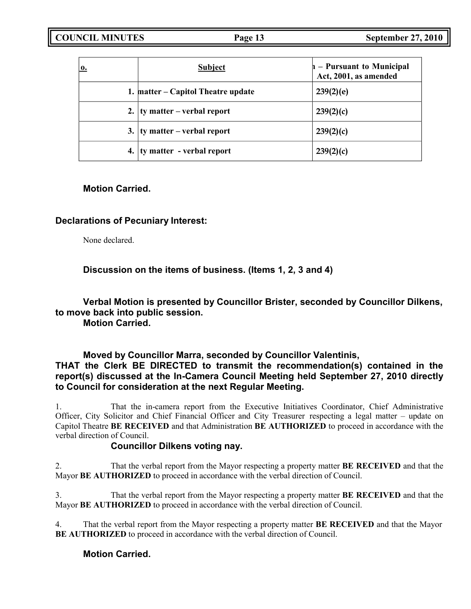| 0. | <b>Subject</b>                             | - Pursuant to Municipal<br>Act, 2001, as amended |
|----|--------------------------------------------|--------------------------------------------------|
|    | 1. matter – Capitol Theatre update         | 239(2)(e)                                        |
|    | 2. $\frac{1}{2}$ ty matter – verbal report | 239(2)(c)                                        |
|    | 3. $\frac{1}{2}$ ty matter – verbal report | 239(2)(c)                                        |
|    | 4.   ty matter - verbal report             | 239(2)(c)                                        |

# **Motion Carried.**

# **Declarations of Pecuniary Interest:**

None declared.

**Discussion on the items of business. (Items 1, 2, 3 and 4)**

**Verbal Motion is presented by Councillor Brister, seconded by Councillor Dilkens, to move back into public session.**

**Motion Carried.**

# **Moved by Councillor Marra, seconded by Councillor Valentinis, THAT the Clerk BE DIRECTED to transmit the recommendation(s) contained in the report(s) discussed at the In-Camera Council Meeting held September 27, 2010 directly to Council for consideration at the next Regular Meeting.**

1. That the in-camera report from the Executive Initiatives Coordinator, Chief Administrative Officer, City Solicitor and Chief Financial Officer and City Treasurer respecting a legal matter – update on Capitol Theatre **BE RECEIVED** and that Administration **BE AUTHORIZED** to proceed in accordance with the verbal direction of Council.

# **Councillor Dilkens voting nay.**

2. That the verbal report from the Mayor respecting a property matter **BE RECEIVED** and that the Mayor **BE AUTHORIZED** to proceed in accordance with the verbal direction of Council.

3. That the verbal report from the Mayor respecting a property matter **BE RECEIVED** and that the Mayor **BE AUTHORIZED** to proceed in accordance with the verbal direction of Council.

4. That the verbal report from the Mayor respecting a property matter **BE RECEIVED** and that the Mayor **BE AUTHORIZED** to proceed in accordance with the verbal direction of Council.

**Motion Carried.**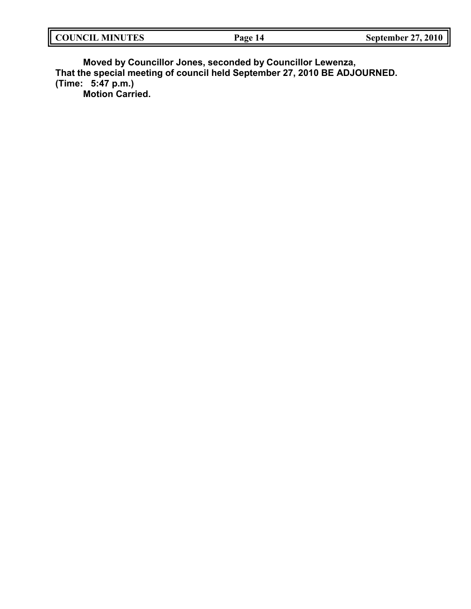| COUNCIL MINU<br><b>MINUTES</b> | ிரு<br>$\mathbf{a}_{\mathbf{k}}$ | $\sim$<br>2010<br>september 1 |
|--------------------------------|----------------------------------|-------------------------------|
|                                |                                  |                               |

**Moved by Councillor Jones, seconded by Councillor Lewenza, That the special meeting of council held September 27, 2010 BE ADJOURNED. (Time: 5:47 p.m.) Motion Carried.**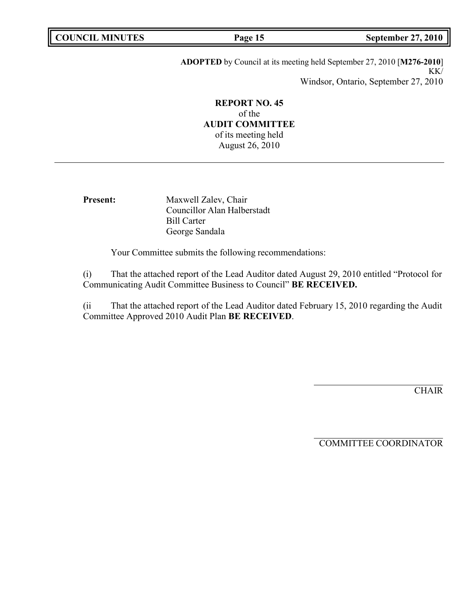| <b>COUNCIL MINUTES</b> |  |
|------------------------|--|
|------------------------|--|

**COUNCIL MINUTES Page 15 September 27, 2010**

**ADOPTED** by Council at its meeting held September 27, 2010 [**M276-2010**] KK/ Windsor, Ontario, September 27, 2010

**REPORT NO. 45** of the **AUDIT COMMITTEE** of its meeting held August 26, 2010

**Present:** Maxwell Zalev, Chair Councillor Alan Halberstadt Bill Carter George Sandala

Your Committee submits the following recommendations:

(i) That the attached report of the Lead Auditor dated August 29, 2010 entitled "Protocol for Communicating Audit Committee Business to Council" **BE RECEIVED.**

(ii That the attached report of the Lead Auditor dated February 15, 2010 regarding the Audit Committee Approved 2010 Audit Plan **BE RECEIVED**.

**CHAIR** 

COMMITTEE COORDINATOR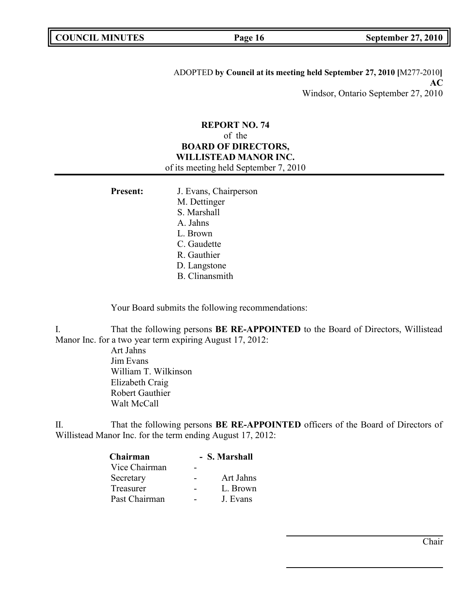ADOPTED **by Council at its meeting held September 27, 2010 [**M277-2010**] AC** Windsor, Ontario September 27, 2010

# **REPORT NO. 74** of the **BOARD OF DIRECTORS, WILLISTEAD MANOR INC.** of its meeting held September 7, 2010

| <b>Present:</b> | J. Evans, Chairperson |
|-----------------|-----------------------|
|                 | M. Dettinger          |
|                 | S. Marshall           |
|                 | A. Jahns              |
|                 | L. Brown              |
|                 | C. Gaudette           |
|                 | R. Gauthier           |
|                 | D. Langstone          |
|                 | <b>B.</b> Clinansmith |

Your Board submits the following recommendations:

I. That the following persons **BE RE-APPOINTED** to the Board of Directors, Willistead Manor Inc. for a two year term expiring August 17, 2012:

> Art Jahns Jim Evans William T. Wilkinson Elizabeth Craig Robert Gauthier Walt McCall

II. That the following persons **BE RE-APPOINTED** officers of the Board of Directors of Willistead Manor Inc. for the term ending August 17, 2012:

| - S. Marshall |           |
|---------------|-----------|
|               |           |
|               | Art Jahns |
|               | L. Brown  |
|               | J. Evans  |
|               |           |